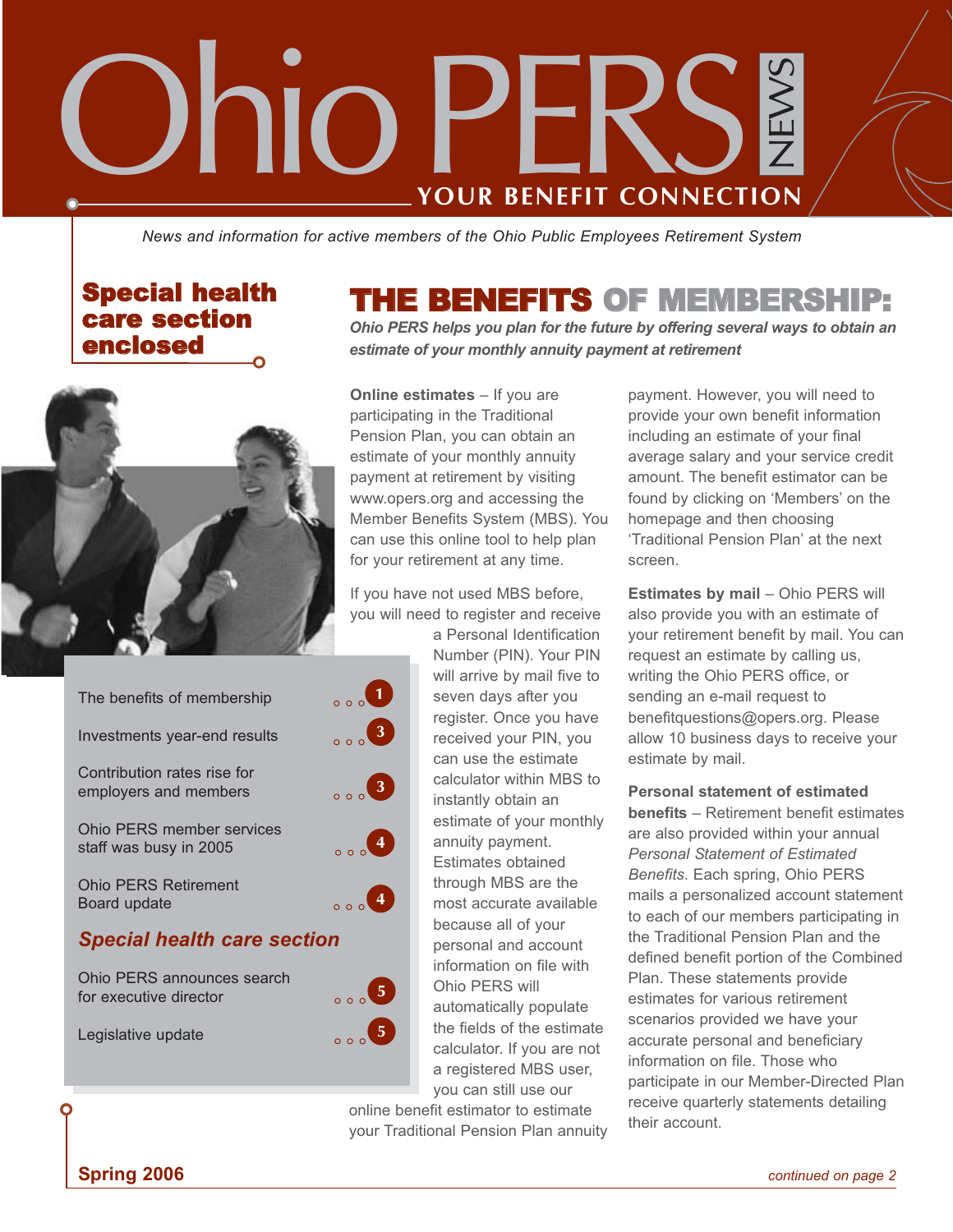# NEWS Ohio **YOUR BENEFIT CONNECTION PER**

*News and information for active members of the Ohio Public Employees Retirement System*

# Special health care section enclosed



| The benefits of membership                           | $\circ$ $\circ$ $\circ$                                                |
|------------------------------------------------------|------------------------------------------------------------------------|
| Investments year-end results                         | 3 <sup>1</sup><br>0.00                                                 |
| Contribution rates rise for<br>employers and members | $\left(3\right)$<br>$\begin{array}{c} 1 \ 0 \ 0 \end{array}$           |
| Ohio PERS member services<br>staff was busy in 2005  | $\overline{4}$<br>$\begin{smallmatrix}0&&&0\\0&0&0&0\end{smallmatrix}$ |
| <b>Ohio PERS Retirement</b><br>Board update          | $\circ$ $\circ$ $\circ$ 4                                              |
| <b>Special health care section</b>                   |                                                                        |
| Ohio PERS announces search<br>for executive director | $\sqrt{5}$<br>$\begin{array}{c} 0 & 0 \\ 0 & 0 \\ 0 & 0 \end{array}$   |
| Legislative update                                   |                                                                        |

# **THE BENEFITS OF MEMBERSHI**

*Ohio PERS helps you plan for the future by offering several ways to obtain an estimate of your monthly annuity payment at retirement*

**Online estimates** – If you are participating in the Traditional Pension Plan, you can obtain an estimate of your monthly annuity payment at retirement by visiting www.opers.org and accessing the Member Benefits System (MBS). You can use this online tool to help plan for your retirement at any time.

If you have not used MBS before, you will need to register and receive

> a Personal Identification Number (PIN). Your PIN will arrive by mail five to seven days after you register. Once you have received your PIN, you can use the estimate calculator within MBS to instantly obtain an estimate of your monthly annuity payment. Estimates obtained through MBS are the most accurate available because all of your personal and account information on file with Ohio PERS will automatically populate the fields of the estimate calculator. If you are not a registered MBS user, you can still use our

online benefit estimator to estimate your Traditional Pension Plan annuity

payment. However, you will need to provide your own benefit information including an estimate of your final average salary and your service credit amount. The benefit estimator can be found by clicking on 'Members' on the homepage and then choosing 'Traditional Pension Plan' at the next screen.

**Estimates by mail** – Ohio PERS will also provide you with an estimate of your retirement benefit by mail. You can request an estimate by calling us, writing the Ohio PERS office, or sending an e-mail request to benefitquestions@opers.org. Please allow 10 business days to receive your estimate by mail.

**Personal statement of estimated benefits** – Retirement benefit estimates are also provided within your annual *Personal Statement of Estimated Benefits*. Each spring, Ohio PERS mails a personalized account statement to each of our members participating in the Traditional Pension Plan and the defined benefit portion of the Combined Plan. These statements provide estimates for various retirement scenarios provided we have your accurate personal and beneficiary information on file. Those who participate in our Member-Directed Plan receive quarterly statements detailing their account.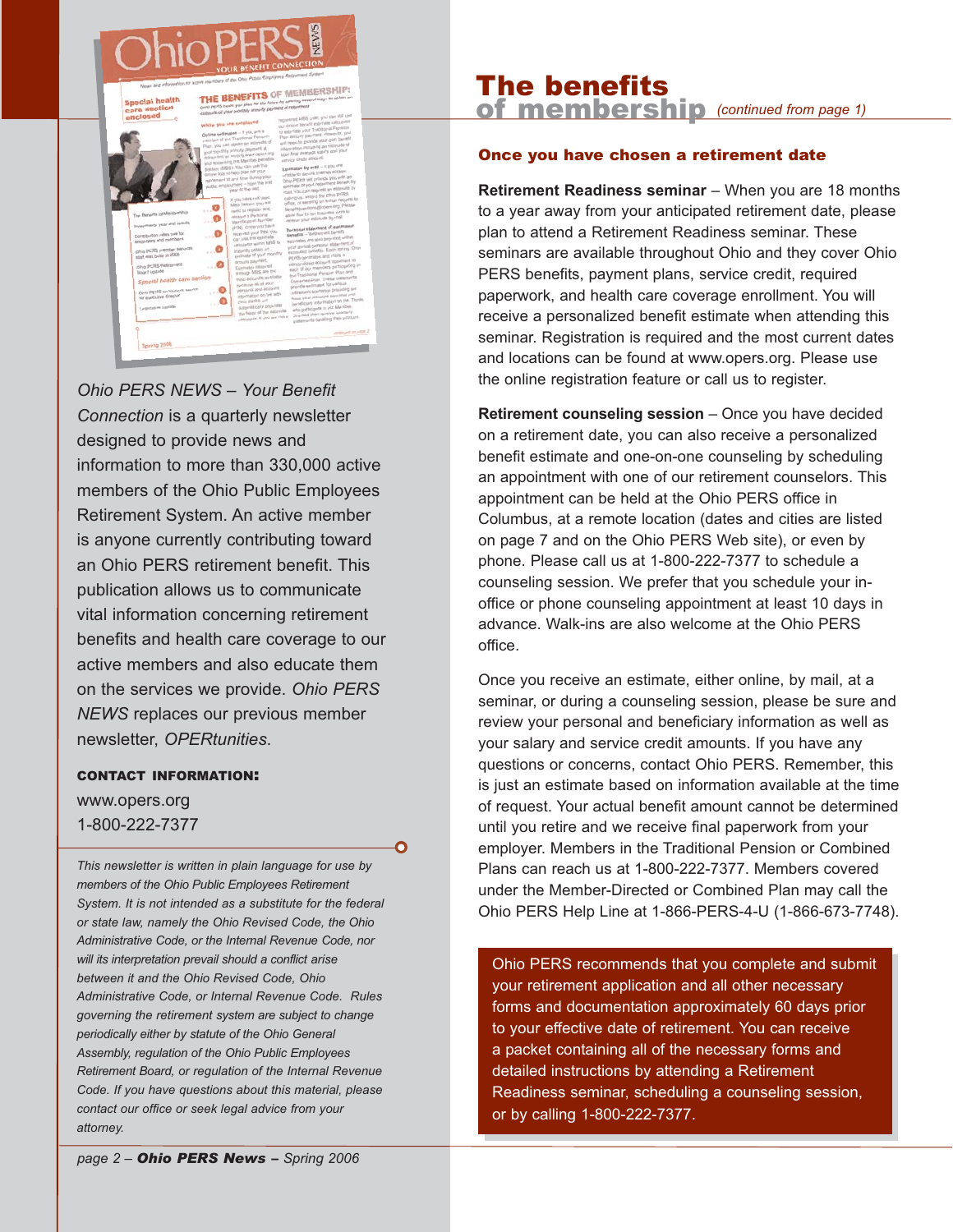

*Ohio PERS NEWS* – *Your Benefit Connection* is a quarterly newsletter designed to provide news and information to more than 330,000 active members of the Ohio Public Employees Retirement System. An active member is anyone currently contributing toward an Ohio PERS retirement benefit. This publication allows us to communicate vital information concerning retirement benefits and health care coverage to our active members and also educate them on the services we provide. *Ohio PERS NEWS* replaces our previous member newsletter, *OPERtunities*.

#### CONTACT INFORMATION:

www.opers.org 1-800-222-7377

*This newsletter is written in plain language for use by members of the Ohio Public Employees Retirement System. It is not intended as a substitute for the federal or state law, namely the Ohio Revised Code, the Ohio Administrative Code, or the Internal Revenue Code, nor will its interpretation prevail should a conflict arise between it and the Ohio Revised Code, Ohio Administrative Code, or Internal Revenue Code. Rules governing the retirement system are subject to change periodically either by statute of the Ohio General Assembly, regulation of the Ohio Public Employees Retirement Board, or regulation of the Internal Revenue Code. If you have questions about this material, please contact our office or seek legal advice from your attorney.*

Q

#### The benefits of membership *(continued from page 1)*

#### Once you have chosen a retirement date

**Retirement Readiness seminar** – When you are 18 months to a year away from your anticipated retirement date, please plan to attend a Retirement Readiness seminar. These seminars are available throughout Ohio and they cover Ohio PERS benefits, payment plans, service credit, required paperwork, and health care coverage enrollment. You will receive a personalized benefit estimate when attending this seminar. Registration is required and the most current dates and locations can be found at www.opers.org. Please use the online registration feature or call us to register.

**Retirement counseling session** – Once you have decided on a retirement date, you can also receive a personalized benefit estimate and one-on-one counseling by scheduling an appointment with one of our retirement counselors. This appointment can be held at the Ohio PERS office in Columbus, at a remote location (dates and cities are listed on page 7 and on the Ohio PERS Web site), or even by phone. Please call us at 1-800-222-7377 to schedule a counseling session. We prefer that you schedule your inoffice or phone counseling appointment at least 10 days in advance. Walk-ins are also welcome at the Ohio PERS office.

Once you receive an estimate, either online, by mail, at a seminar, or during a counseling session, please be sure and review your personal and beneficiary information as well as your salary and service credit amounts. If you have any questions or concerns, contact Ohio PERS. Remember, this is just an estimate based on information available at the time of request. Your actual benefit amount cannot be determined until you retire and we receive final paperwork from your employer. Members in the Traditional Pension or Combined Plans can reach us at 1-800-222-7377. Members covered under the Member-Directed or Combined Plan may call the Ohio PERS Help Line at 1-866-PERS-4-U (1-866-673-7748).

Ohio PERS recommends that you complete and submit your retirement application and all other necessary forms and documentation approximately 60 days prior to your effective date of retirement. You can receive a packet containing all of the necessary forms and detailed instructions by attending a Retirement Readiness seminar, scheduling a counseling session, or by calling 1-800-222-7377.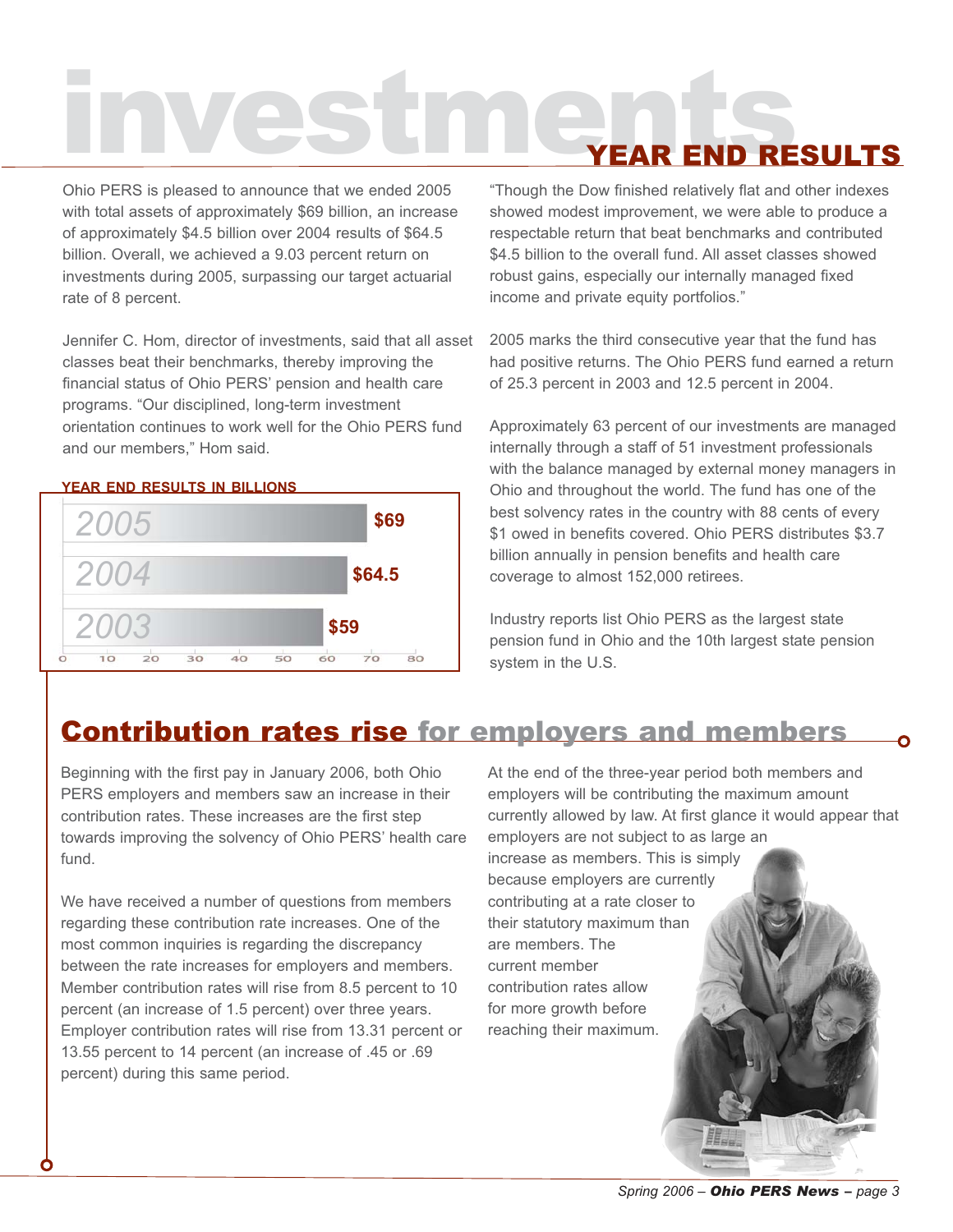# investments YEAR END RESULTS

Ohio PERS is pleased to announce that we ended 2005 with total assets of approximately \$69 billion, an increase of approximately \$4.5 billion over 2004 results of \$64.5 billion. Overall, we achieved a 9.03 percent return on investments during 2005, surpassing our target actuarial rate of 8 percent.

Jennifer C. Hom, director of investments, said that all asset classes beat their benchmarks, thereby improving the financial status of Ohio PERS' pension and health care programs. "Our disciplined, long-term investment orientation continues to work well for the Ohio PERS fund and our members," Hom said.

#### **YEAR END RESULTS IN BILLIONS**



"Though the Dow finished relatively flat and other indexes showed modest improvement, we were able to produce a respectable return that beat benchmarks and contributed \$4.5 billion to the overall fund. All asset classes showed robust gains, especially our internally managed fixed income and private equity portfolios."

2005 marks the third consecutive year that the fund has had positive returns. The Ohio PERS fund earned a return of 25.3 percent in 2003 and 12.5 percent in 2004.

Approximately 63 percent of our investments are managed internally through a staff of 51 investment professionals with the balance managed by external money managers in Ohio and throughout the world. The fund has one of the best solvency rates in the country with 88 cents of every \$1 owed in benefits covered. Ohio PERS distributes \$3.7 billion annually in pension benefits and health care coverage to almost 152,000 retirees.

Industry reports list Ohio PERS as the largest state pension fund in Ohio and the 10th largest state pension system in the U.S.

# Contribution rates rise for employers and members

Beginning with the first pay in January 2006, both Ohio PERS employers and members saw an increase in their contribution rates. These increases are the first step towards improving the solvency of Ohio PERS' health care fund.

We have received a number of questions from members regarding these contribution rate increases. One of the most common inquiries is regarding the discrepancy between the rate increases for employers and members. Member contribution rates will rise from 8.5 percent to 10 percent (an increase of 1.5 percent) over three years. Employer contribution rates will rise from 13.31 percent or 13.55 percent to 14 percent (an increase of .45 or .69 percent) during this same period.

At the end of the three-year period both members and employers will be contributing the maximum amount currently allowed by law. At first glance it would appear that employers are not subject to as large an

increase as members. This is simply because employers are currently contributing at a rate closer to their statutory maximum than are members. The current member contribution rates allow for more growth before reaching their maximum.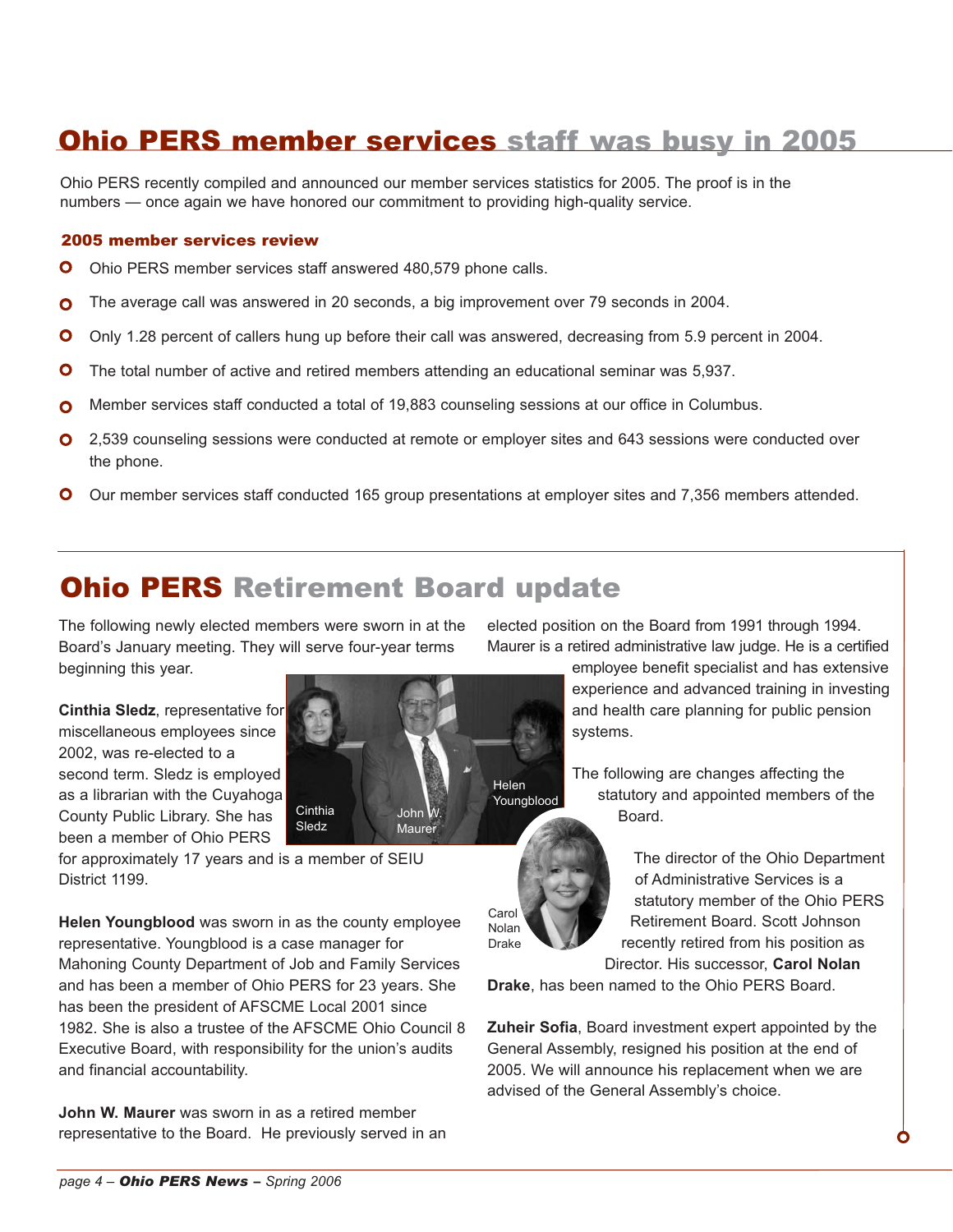# Ohio PERS member services staff was busy in 2005

Ohio PERS recently compiled and announced our member services statistics for 2005. The proof is in the numbers — once again we have honored our commitment to providing high-quality service.

#### 2005 member services review

- $\bullet$ Ohio PERS member services staff answered 480,579 phone calls.
- The average call was answered in 20 seconds, a big improvement over 79 seconds in 2004. O
- O Only 1.28 percent of callers hung up before their call was answered, decreasing from 5.9 percent in 2004.
- $\bullet$ The total number of active and retired members attending an educational seminar was 5,937.
- Member services staff conducted a total of 19,883 counseling sessions at our office in Columbus. O
- **O** 2,539 counseling sessions were conducted at remote or employer sites and 643 sessions were conducted over the phone.
- O Our member services staff conducted 165 group presentations at employer sites and 7,356 members attended.

# Ohio PERS Retirement Board update

The following newly elected members were sworn in at the Board's January meeting. They will serve four-year terms beginning this year.

**Cinthia Sledz**, representative for miscellaneous employees since 2002, was re-elected to a second term. Sledz is employed as a librarian with the Cuyahoga County Public Library. She has been a member of Ohio PERS



for approximately 17 years and is a member of SEIU District 1199.

**Helen Youngblood** was sworn in as the county employee representative. Youngblood is a case manager for Mahoning County Department of Job and Family Services and has been a member of Ohio PERS for 23 years. She has been the president of AFSCME Local 2001 since 1982. She is also a trustee of the AFSCME Ohio Council 8 Executive Board, with responsibility for the union's audits and financial accountability.

**John W. Maurer** was sworn in as a retired member representative to the Board. He previously served in an elected position on the Board from 1991 through 1994. Maurer is a retired administrative law judge. He is a certified

> employee benefit specialist and has extensive experience and advanced training in investing and health care planning for public pension systems.

The following are changes affecting the statutory and appointed members of the Board.

Carol Nolan Drake

The director of the Ohio Department of Administrative Services is a statutory member of the Ohio PERS Retirement Board. Scott Johnson recently retired from his position as Director. His successor, **Carol Nolan**

**Drake**, has been named to the Ohio PERS Board.

**Zuheir Sofia**, Board investment expert appointed by the General Assembly, resigned his position at the end of 2005. We will announce his replacement when we are advised of the General Assembly's choice.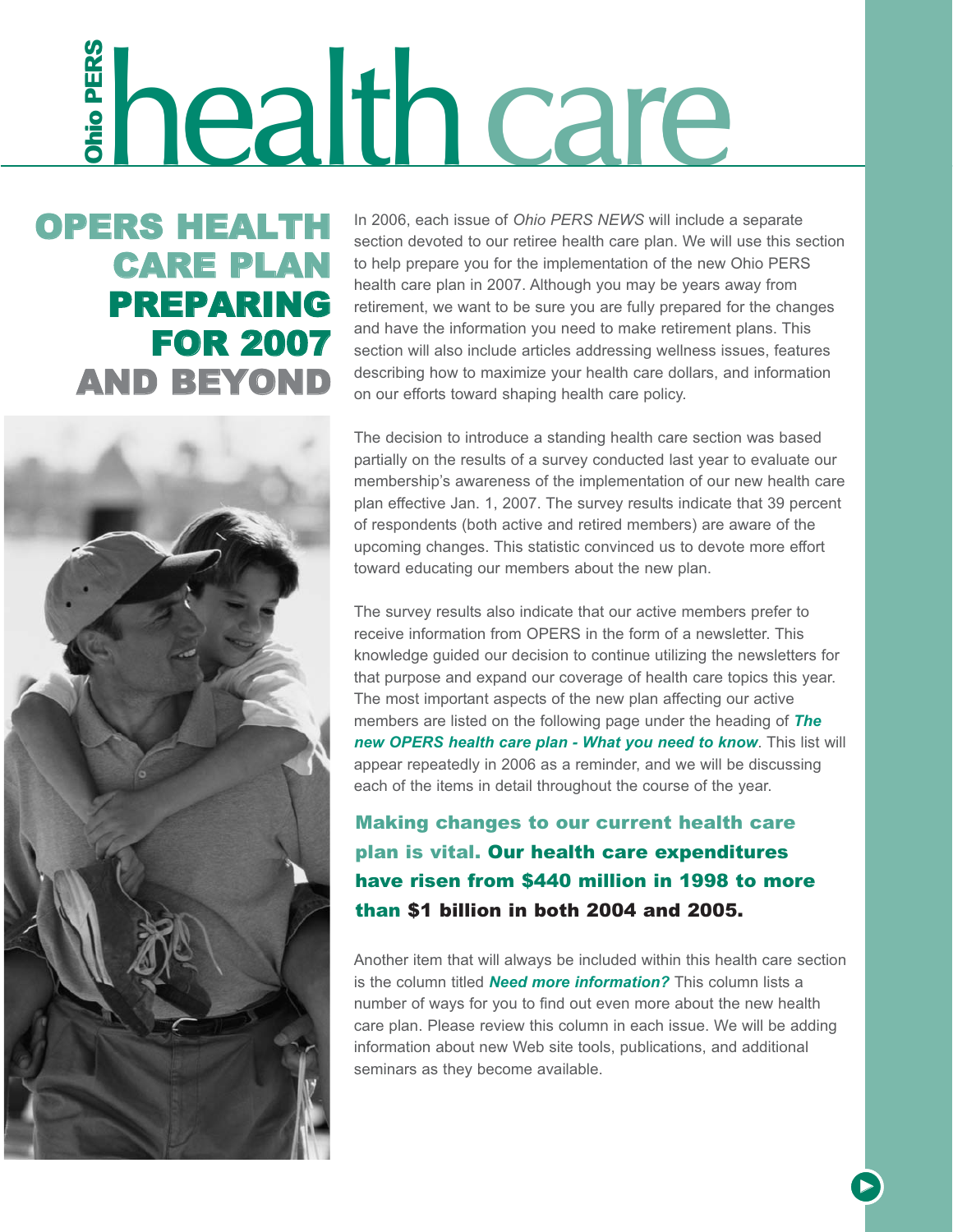# **ERS HEALTH** In 2006, each issue of *Ohio PERS NEWS* will include a<br>section devoted to our retiree health care plan. We will<br>**CARE PLAN** to help prepare you for the implementation of the new Your **CARE PLAN** to help prepar

OPERS HEALTH CARE PLAN PREPARING FOR 2007

In 2006, each issue of *Ohio PERS NEWS* will include a separate section devoted to our retiree health care plan. We will use this section to help prepare you for the implementation of the new Ohio PERS health care plan in 2007. Although you may be years away from retirement, we want to be sure you are fully prepared for the changes and have the information you need to make retirement plans. This section will also include articles addressing wellness issues, features describing how to maximize your health care dollars, and information on our efforts toward shaping health care policy.

The decision to introduce a standing health care section was based partially on the results of a survey conducted last year to evaluate our membership's awareness of the implementation of our new health care plan effective Jan. 1, 2007. The survey results indicate that 39 percent of respondents (both active and retired members) are aware of the upcoming changes. This statistic convinced us to devote more effort toward educating our members about the new plan.

The survey results also indicate that our active members prefer to receive information from OPERS in the form of a newsletter. This knowledge guided our decision to continue utilizing the newsletters for that purpose and expand our coverage of health care topics this year. The most important aspects of the new plan affecting our active members are listed on the following page under the heading of *The new OPERS health care plan - What you need to know*. This list will appear repeatedly in 2006 as a reminder, and we will be discussing each of the items in detail throughout the course of the year.

Making changes to our current health care plan is vital. Our health care expenditures have risen from \$440 million in 1998 to more than \$1 billion in both 2004 and 2005.

Another item that will always be included within this health care section is the column titled *Need more information?* This column lists a number of ways for you to find out even more about the new health care plan. Please review this column in each issue. We will be adding information about new Web site tools, publications, and additional seminars as they become available.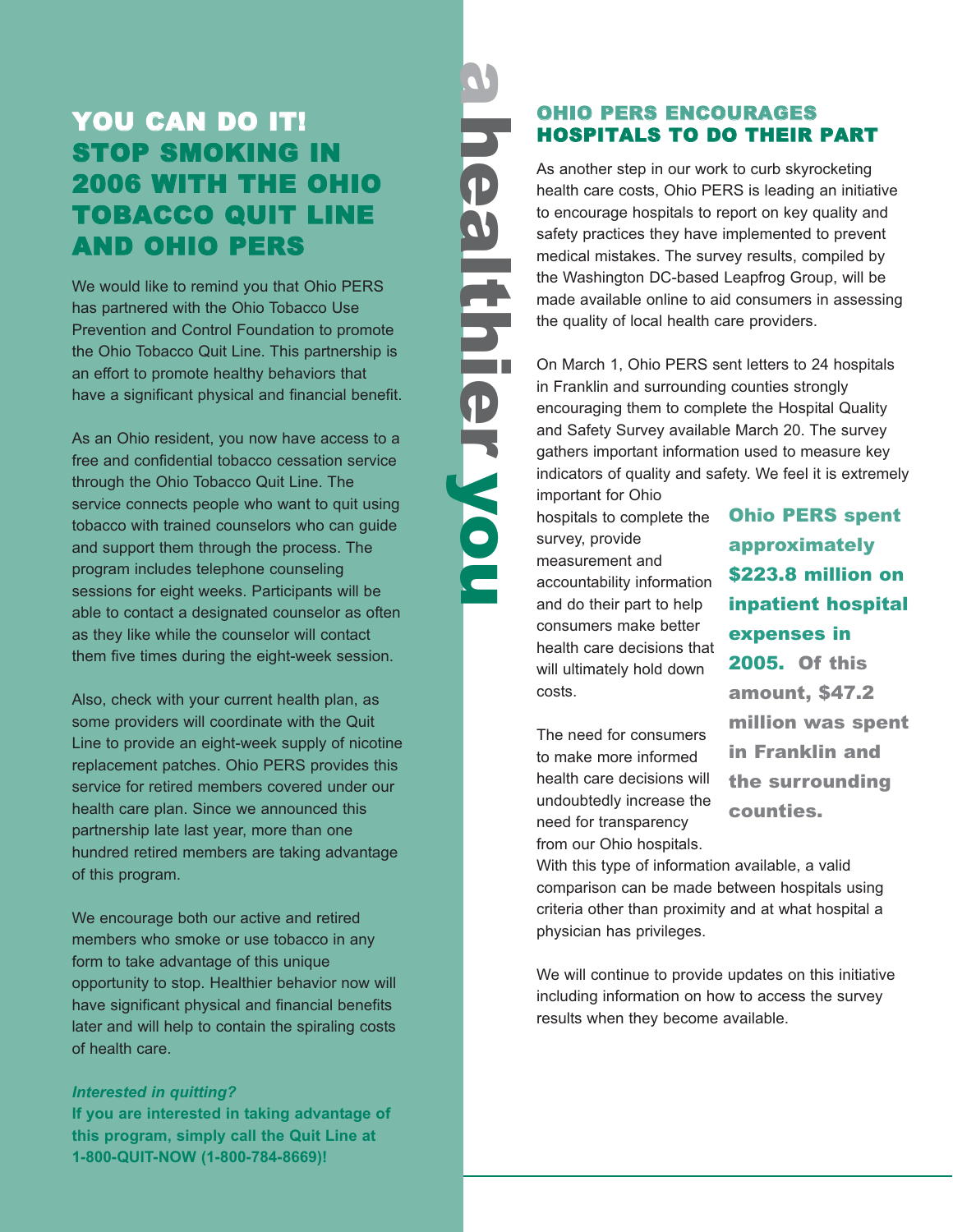# YOU CAN DO **IT!** STOP SMOKING IN 2006 WITH THE OHIO TOBACCO QUIT LINE AND OHIO PERS

We would like to remind you that Ohio PERS has partnered with the Ohio Tobacco Use Prevention and Control Foundation to promote the Ohio Tobacco Quit Line. This partnership is an effort to promote healthy behaviors that have a significant physical and financial benefit.

As an Ohio resident, you now have access to a free and confidential tobacco cessation service through the Ohio Tobacco Quit Line. The service connects people who want to quit using tobacco with trained counselors who can guide and support them through the process. The program includes telephone counseling sessions for eight weeks. Participants will be able to contact a designated counselor as often as they like while the counselor will contact them five times during the eight-week session.

Also, check with your current health plan, as some providers will coordinate with the Quit Line to provide an eight-week supply of nicotine replacement patches. Ohio PERS provides this service for retired members covered under our health care plan. Since we announced this partnership late last year, more than one hundred retired members are taking advantage of this program.

We encourage both our active and retired members who smoke or use tobacco in any form to take advantage of this unique opportunity to stop. Healthier behavior now will have significant physical and financial benefits later and will help to contain the spiraling costs of health care.

*Interested in quitting?* **If you are interested in taking advantage of this program, simply call the Quit Line at 1-800-QUIT-NOW (1-800-784-8669)!**

# ahealthier healthierwou OHIO PERS ENCOURAGES HOSPITALS TO DO THEIR PART the quality of local health care providers.

hospitals to complete the survey, provide measurement and accountability information and do their part to help consumers make better health care decisions that will ultimately hold down costs.

The need for consumers to make more informed health care decisions will undoubtedly increase the need for transparency from our Ohio hospitals.

With this type of information available, a valid comparison can be made between hospitals using criteria other than proximity and at what hospital a physician has privileges.

We will continue to provide updates on this initiative including information on how to access the survey results when they become available.

Ohio PERS spent approximately \$223.8 million on inpatient hospital expenses in 2005. Of this amount, \$47.2 million was spent in Franklin and the surrounding counties.

As another step in our work to curb skyrocketing health care costs, Ohio PERS is leading an initiative to encourage hospitals to report on key quality and safety practices they have implemented to prevent medical mistakes. The survey results, compiled by the Washington DC-based Leapfrog Group, will be made available online to aid consumers in assessing

On March 1, Ohio PERS sent letters to 24 hospitals in Franklin and surrounding counties strongly encouraging them to complete the Hospital Quality and Safety Survey available March 20. The survey gathers important information used to measure key

indicators of quality and safety. We feel it is extremely important for Ohio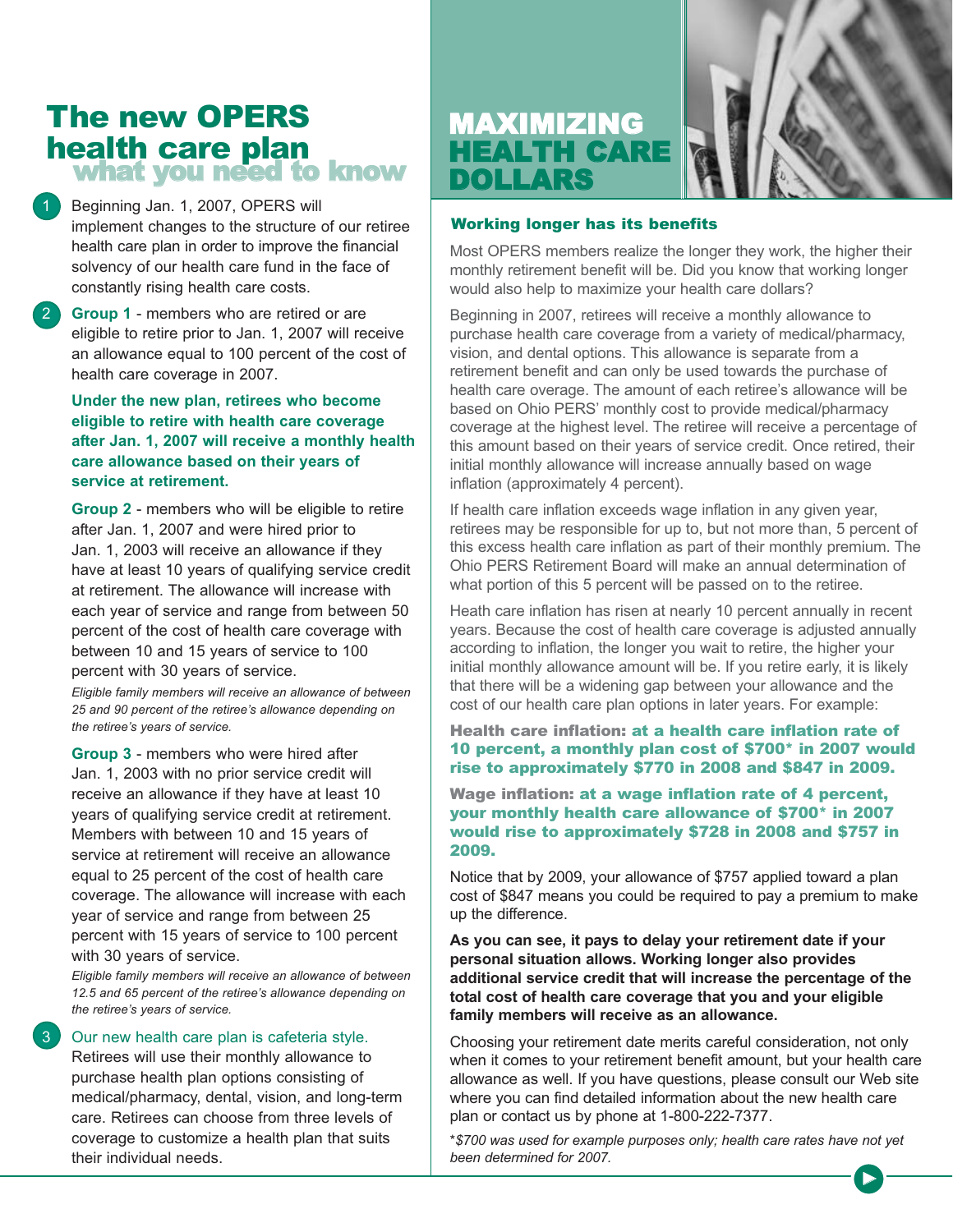# The new OPERS health care plan what you need to know

Beginning Jan. 1, 2007, OPERS will implement changes to the structure of our retiree health care plan in order to improve the financial solvency of our health care fund in the face of constantly rising health care costs.

**Group 1** - members who are retired or are eligible to retire prior to Jan. 1, 2007 will receive an allowance equal to 100 percent of the cost of health care coverage in 2007.

**Under the new plan, retirees who become eligible to retire with health care coverage after Jan. 1, 2007 will receive a monthly health care allowance based on their years of service at retirement.**

**Group 2** - members who will be eligible to retire after Jan. 1, 2007 and were hired prior to Jan. 1, 2003 will receive an allowance if they have at least 10 years of qualifying service credit at retirement. The allowance will increase with each year of service and range from between 50 percent of the cost of health care coverage with between 10 and 15 years of service to 100 percent with 30 years of service.

*Eligible family members will receive an allowance of between 25 and 90 percent of the retiree's allowance depending on the retiree's years of service.*

**Group 3** - members who were hired after Jan. 1, 2003 with no prior service credit will receive an allowance if they have at least 10 years of qualifying service credit at retirement. Members with between 10 and 15 years of service at retirement will receive an allowance equal to 25 percent of the cost of health care coverage. The allowance will increase with each year of service and range from between 25 percent with 15 years of service to 100 percent with 30 years of service.

*Eligible family members will receive an allowance of between 12.5 and 65 percent of the retiree's allowance depending on the retiree's years of service.*

#### Our new health care plan is cafeteria style.

Retirees will use their monthly allowance to purchase health plan options consisting of medical/pharmacy, dental, vision, and long-term care. Retirees can choose from three levels of coverage to customize a health plan that suits their individual needs.





#### Working longer has its benefits

Most OPERS members realize the longer they work, the higher their monthly retirement benefit will be. Did you know that working longer would also help to maximize your health care dollars?

Beginning in 2007, retirees will receive a monthly allowance to purchase health care coverage from a variety of medical/pharmacy, vision, and dental options. This allowance is separate from a retirement benefit and can only be used towards the purchase of health care overage. The amount of each retiree's allowance will be based on Ohio PERS' monthly cost to provide medical/pharmacy coverage at the highest level. The retiree will receive a percentage of this amount based on their years of service credit. Once retired, their initial monthly allowance will increase annually based on wage inflation (approximately 4 percent).

If health care inflation exceeds wage inflation in any given year, retirees may be responsible for up to, but not more than, 5 percent of this excess health care inflation as part of their monthly premium. The Ohio PERS Retirement Board will make an annual determination of what portion of this 5 percent will be passed on to the retiree.

Heath care inflation has risen at nearly 10 percent annually in recent years. Because the cost of health care coverage is adjusted annually according to inflation, the longer you wait to retire, the higher your initial monthly allowance amount will be. If you retire early, it is likely that there will be a widening gap between your allowance and the cost of our health care plan options in later years. For example:

#### Health care inflation: at a health care inflation rate of 10 percent, a monthly plan cost of \$700\* in 2007 would rise to approximately \$770 in 2008 and \$847 in 2009.

Wage inflation: at a wage inflation rate of 4 percent, your monthly health care allowance of \$700\* in 2007 would rise to approximately \$728 in 2008 and \$757 in 2009.

Notice that by 2009, your allowance of \$757 applied toward a plan cost of \$847 means you could be required to pay a premium to make up the difference.

**As you can see, it pays to delay your retirement date if your personal situation allows. Working longer also provides additional service credit that will increase the percentage of the total cost of health care coverage that you and your eligible family members will receive as an allowance.**

Choosing your retirement date merits careful consideration, not only when it comes to your retirement benefit amount, but your health care allowance as well. If you have questions, please consult our Web site where you can find detailed information about the new health care plan or contact us by phone at 1-800-222-7377.

*\*\$700 was used for example purposes only; health care rates have not yet been determined for 2007.*

▲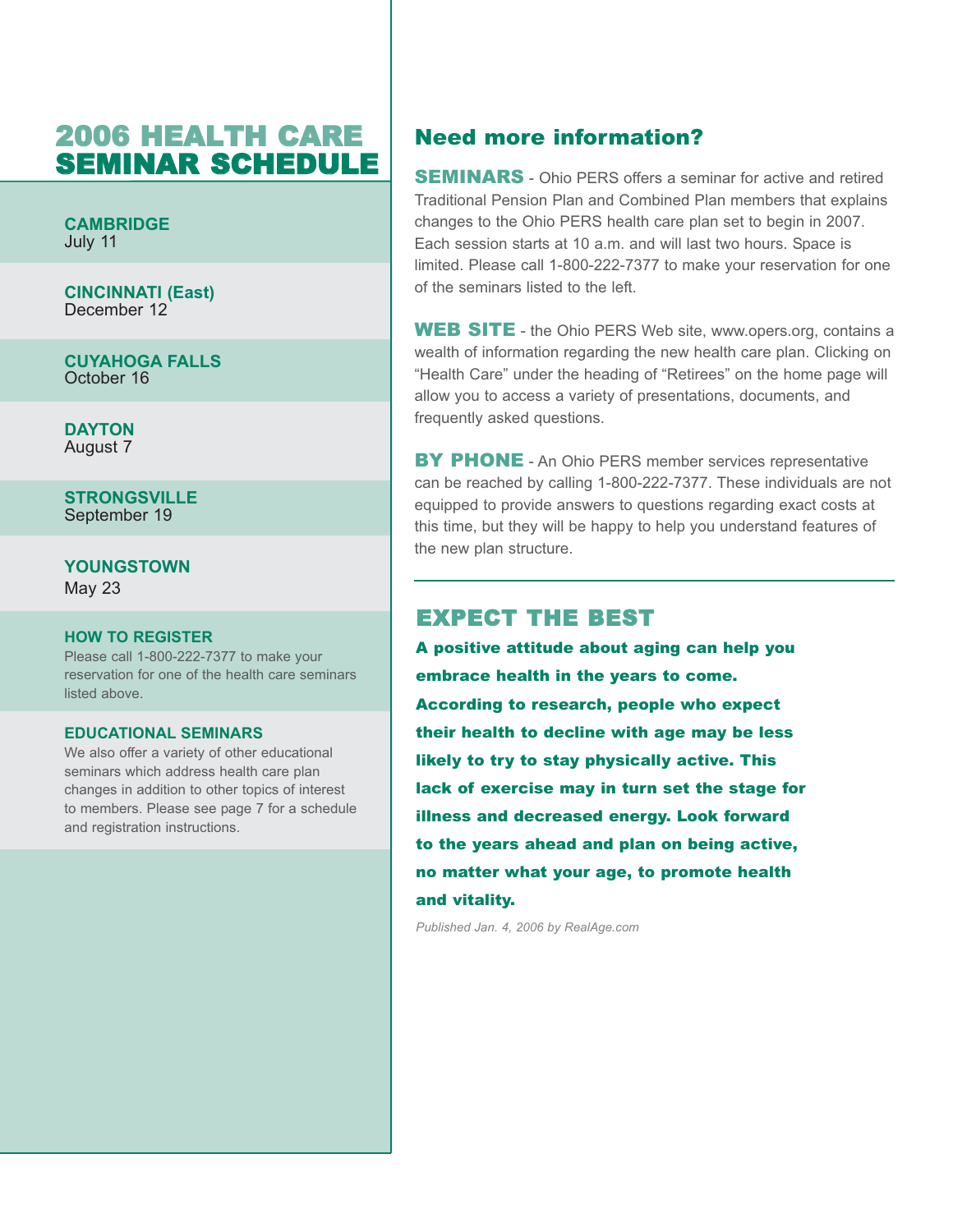# 2006 HEALTH CARE SEMINAR SCHEDULE

**CAMBRIDGE** July 11

**CINCINNATI (East)** December 12

**CUYAHOGA FALLS** October 16

**DAYTON** August 7

**STRONGSVILLE** September 19

**YOUNGSTOWN**

May 23

#### **HOW TO REGISTER**

Please call 1-800-222-7377 to make your reservation for one of the health care seminars listed above.

#### **EDUCATIONAL SEMINARS**

We also offer a variety of other educational seminars which address health care plan changes in addition to other topics of interest to members. Please see page 7 for a schedule and registration instructions.

#### Need more information?

SEMINARS - Ohio PERS offers a seminar for active and retired Traditional Pension Plan and Combined Plan members that explains changes to the Ohio PERS health care plan set to begin in 2007. Each session starts at 10 a.m. and will last two hours. Space is limited. Please call 1-800-222-7377 to make your reservation for one of the seminars listed to the left.

WEB SITE - the Ohio PERS Web site, www.opers.org, contains a wealth of information regarding the new health care plan. Clicking on "Health Care" under the heading of "Retirees" on the home page will allow you to access a variety of presentations, documents, and frequently asked questions.

**BY PHONE** - An Ohio PERS member services representative can be reached by calling 1-800-222-7377. These individuals are not equipped to provide answers to questions regarding exact costs at this time, but they will be happy to help you understand features of the new plan structure.

#### EXPECT THE BEST

A positive attitude about aging can help you embrace health in the years to come. According to research, people who expect their health to decline with age may be less likely to try to stay physically active. This lack of exercise may in turn set the stage for illness and decreased energy. Look forward to the years ahead and plan on being active, no matter what your age, to promote health and vitality.

*Published Jan. 4, 2006 by RealAge.com*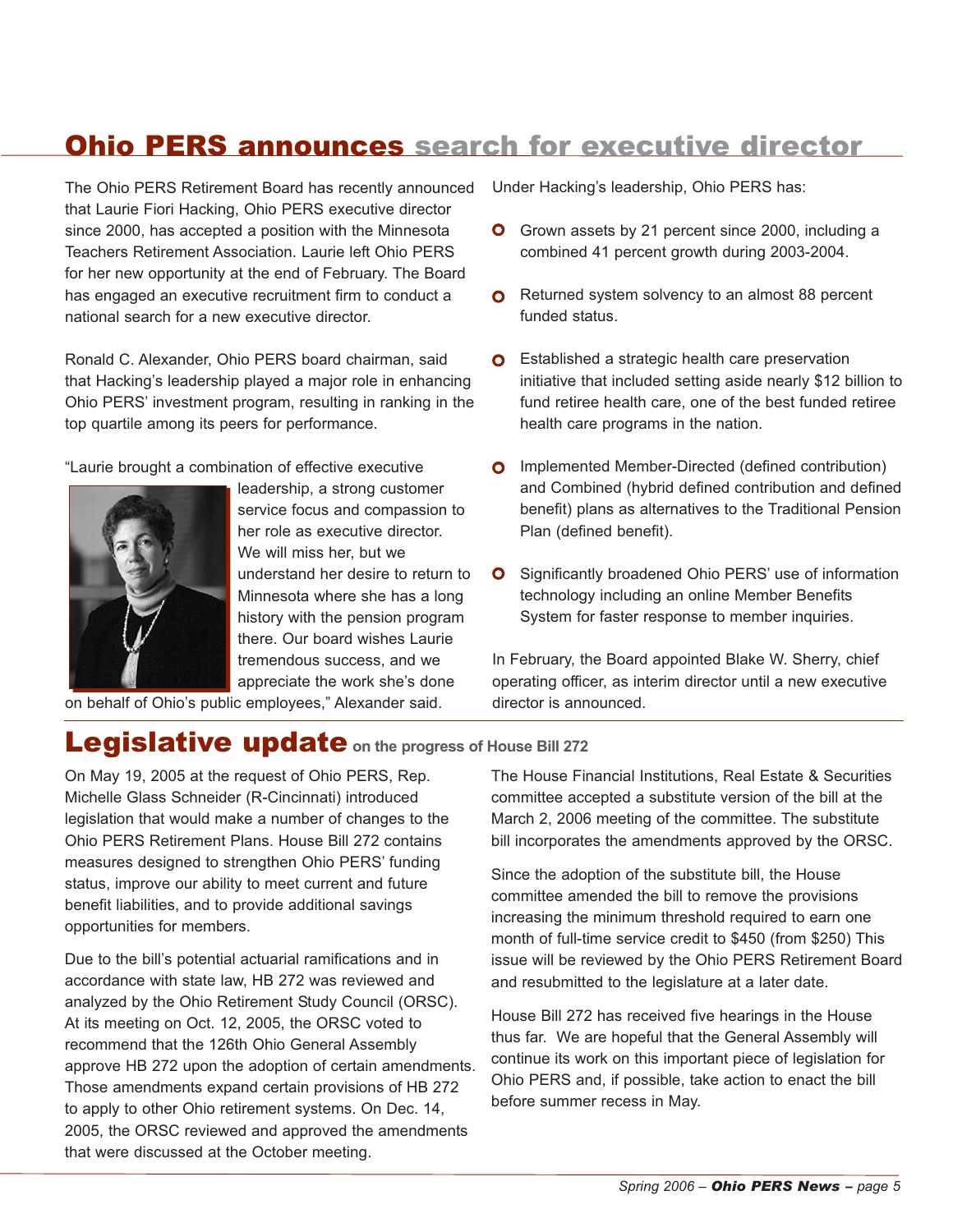# Ohio PERS announces search for executive director

The Ohio PERS Retirement Board has recently announced that Laurie Fiori Hacking, Ohio PERS executive director since 2000, has accepted a position with the Minnesota Teachers Retirement Association. Laurie left Ohio PERS for her new opportunity at the end of February. The Board has engaged an executive recruitment firm to conduct a national search for a new executive director.

Ronald C. Alexander, Ohio PERS board chairman, said that Hacking's leadership played a major role in enhancing Ohio PERS' investment program, resulting in ranking in the top quartile among its peers for performance.

"Laurie brought a combination of effective executive



leadership, a strong customer service focus and compassion to her role as executive director. We will miss her, but we understand her desire to return to Minnesota where she has a long history with the pension program there. Our board wishes Laurie tremendous success, and we appreciate the work she's done

on behalf of Ohio's public employees," Alexander said.

Under Hacking's leadership, Ohio PERS has:

- **O** Grown assets by 21 percent since 2000, including a combined 41 percent growth during 2003-2004.
- **O** Returned system solvency to an almost 88 percent funded status.
- **O** Established a strategic health care preservation initiative that included setting aside nearly \$12 billion to fund retiree health care, one of the best funded retiree health care programs in the nation.
- **O** Implemented Member-Directed (defined contribution) and Combined (hybrid defined contribution and defined benefit) plans as alternatives to the Traditional Pension Plan (defined benefit).
- **O** Significantly broadened Ohio PERS' use of information technology including an online Member Benefits System for faster response to member inquiries.

In February, the Board appointed Blake W. Sherry, chief operating officer, as interim director until a new executive director is announced.

# Legislative update**on the progress of House Bill 272**

On May 19, 2005 at the request of Ohio PERS, Rep. Michelle Glass Schneider (R-Cincinnati) introduced legislation that would make a number of changes to the Ohio PERS Retirement Plans. House Bill 272 contains measures designed to strengthen Ohio PERS' funding status, improve our ability to meet current and future benefit liabilities, and to provide additional savings opportunities for members.

Due to the bill's potential actuarial ramifications and in accordance with state law, HB 272 was reviewed and analyzed by the Ohio Retirement Study Council (ORSC). At its meeting on Oct. 12, 2005, the ORSC voted to recommend that the 126th Ohio General Assembly approve HB 272 upon the adoption of certain amendments. Those amendments expand certain provisions of HB 272 to apply to other Ohio retirement systems. On Dec. 14, 2005, the ORSC reviewed and approved the amendments that were discussed at the October meeting.

The House Financial Institutions, Real Estate & Securities committee accepted a substitute version of the bill at the March 2, 2006 meeting of the committee. The substitute bill incorporates the amendments approved by the ORSC.

Since the adoption of the substitute bill, the House committee amended the bill to remove the provisions increasing the minimum threshold required to earn one month of full-time service credit to \$450 (from \$250) This issue will be reviewed by the Ohio PERS Retirement Board and resubmitted to the legislature at a later date.

House Bill 272 has received five hearings in the House thus far. We are hopeful that the General Assembly will continue its work on this important piece of legislation for Ohio PERS and, if possible, take action to enact the bill before summer recess in May.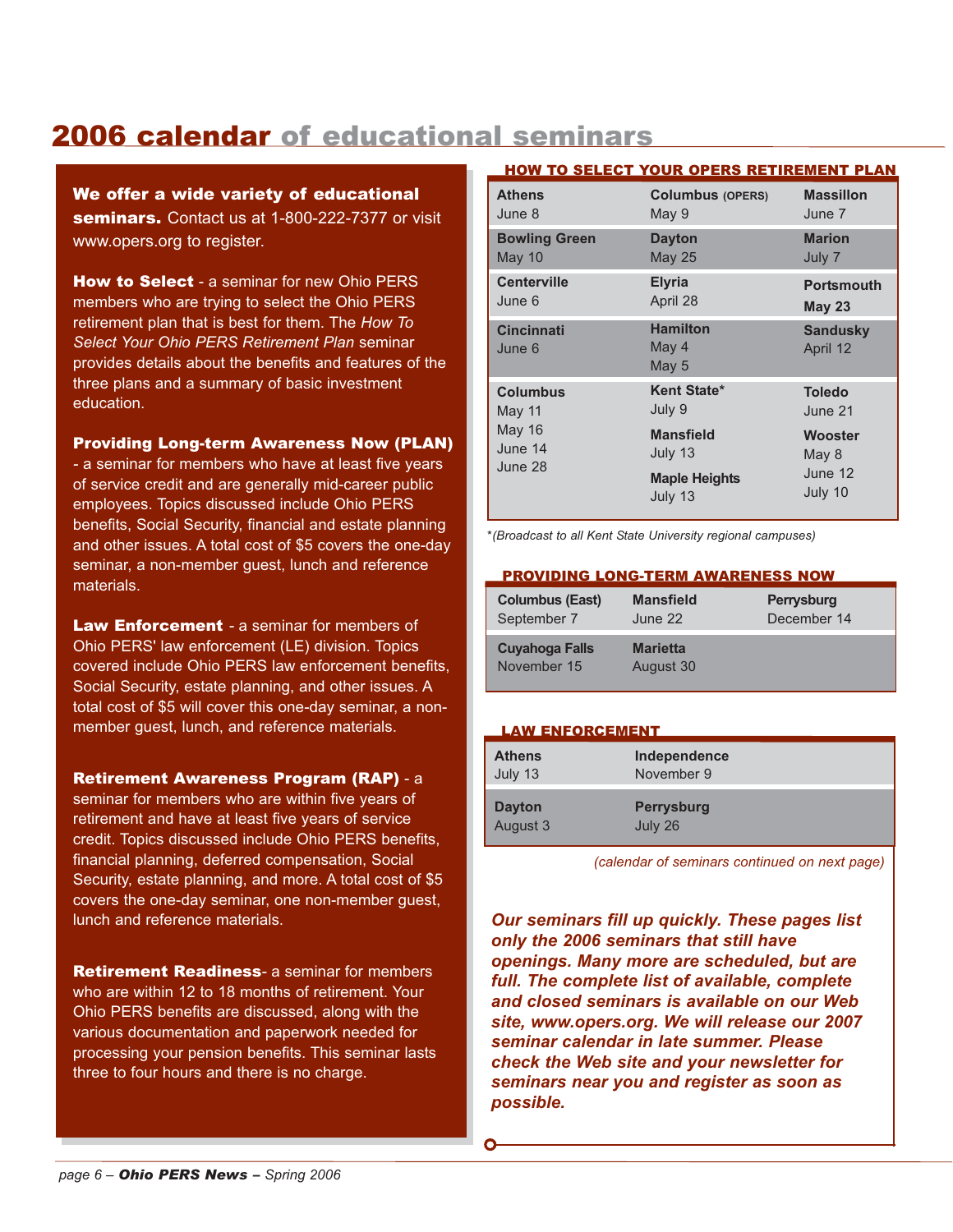# 2006 calendar of educational seminars

We offer a wide variety of educational seminars. Contact us at 1-800-222-7377 or visit www.opers.org to register.

**How to Select** - a seminar for new Ohio PERS members who are trying to select the Ohio PERS retirement plan that is best for them. The *How To Select Your Ohio PERS Retirement Plan* seminar provides details about the benefits and features of the three plans and a summary of basic investment education.

#### Providing Long-term Awareness Now (PLAN)

*-* a seminar for members who have at least five years of service credit and are generally mid-career public employees. Topics discussed include Ohio PERS benefits, Social Security, financial and estate planning and other issues. A total cost of \$5 covers the one-day seminar, a non-member guest, lunch and reference materials.

**Law Enforcement** - a seminar for members of Ohio PERS' law enforcement (LE) division. Topics covered include Ohio PERS law enforcement benefits, Social Security, estate planning, and other issues. A total cost of \$5 will cover this one-day seminar, a nonmember guest, lunch, and reference materials.

Retirement Awareness Program (RAP) - a

seminar for members who are within five years of retirement and have at least five years of service credit. Topics discussed include Ohio PERS benefits, financial planning, deferred compensation, Social Security, estate planning, and more. A total cost of \$5 covers the one-day seminar, one non-member guest, lunch and reference materials.

Retirement Readiness*-* a seminar for members who are within 12 to 18 months of retirement. Your Ohio PERS benefits are discussed, along with the various documentation and paperwork needed for processing your pension benefits. This seminar lasts three to four hours and there is no charge.

#### HOW TO SELECT YOUR OPERS RETIREMENT PLAN

| <b>Athens</b>                                                    | <b>Columbus (OPERS)</b>                                                                 | <b>Massillon</b>                                                   |
|------------------------------------------------------------------|-----------------------------------------------------------------------------------------|--------------------------------------------------------------------|
| June 8                                                           | May 9                                                                                   | June 7                                                             |
| <b>Bowling Green</b>                                             | <b>Dayton</b>                                                                           | <b>Marion</b>                                                      |
| May 10                                                           | <b>May 25</b>                                                                           | July 7                                                             |
| <b>Centerville</b>                                               | <b>Elyria</b>                                                                           | <b>Portsmouth</b>                                                  |
| June 6                                                           | April 28                                                                                | <b>May 23</b>                                                      |
| <b>Cincinnati</b><br>June 6                                      | <b>Hamilton</b><br>May 4<br>May 5                                                       | <b>Sandusky</b><br>April 12                                        |
| <b>Columbus</b><br>May 11<br><b>May 16</b><br>June 14<br>June 28 | Kent State*<br>July 9<br><b>Mansfield</b><br>July 13<br><b>Maple Heights</b><br>July 13 | <b>Toledo</b><br>June 21<br>Wooster<br>May 8<br>June 12<br>July 10 |

*\*(Broadcast to all Kent State University regional campuses)*

#### PROVIDING LONG-TERM AWARENESS NOW

| <b>Columbus (East)</b>        | <b>Mansfield</b>             | Perrysburg  |
|-------------------------------|------------------------------|-------------|
| September 7                   | June 22                      | December 14 |
| Cuyahoga Falls<br>November 15 | <b>Marietta</b><br>August 30 |             |

#### LAW ENFORCEMENT

| <b>Athens</b> | Independence      |
|---------------|-------------------|
| July 13       | November 9        |
| <b>Dayton</b> | <b>Perrysburg</b> |
| August 3      | July 26           |

*(calendar of seminars continued on next page)*

*Our seminars fill up quickly. These pages list only the 2006 seminars that still have openings. Many more are scheduled, but are full. The complete list of available, complete and closed seminars is available on our Web site, www.opers.org. We will release our 2007 seminar calendar in late summer. Please check the Web site and your newsletter for seminars near you and register as soon as possible.*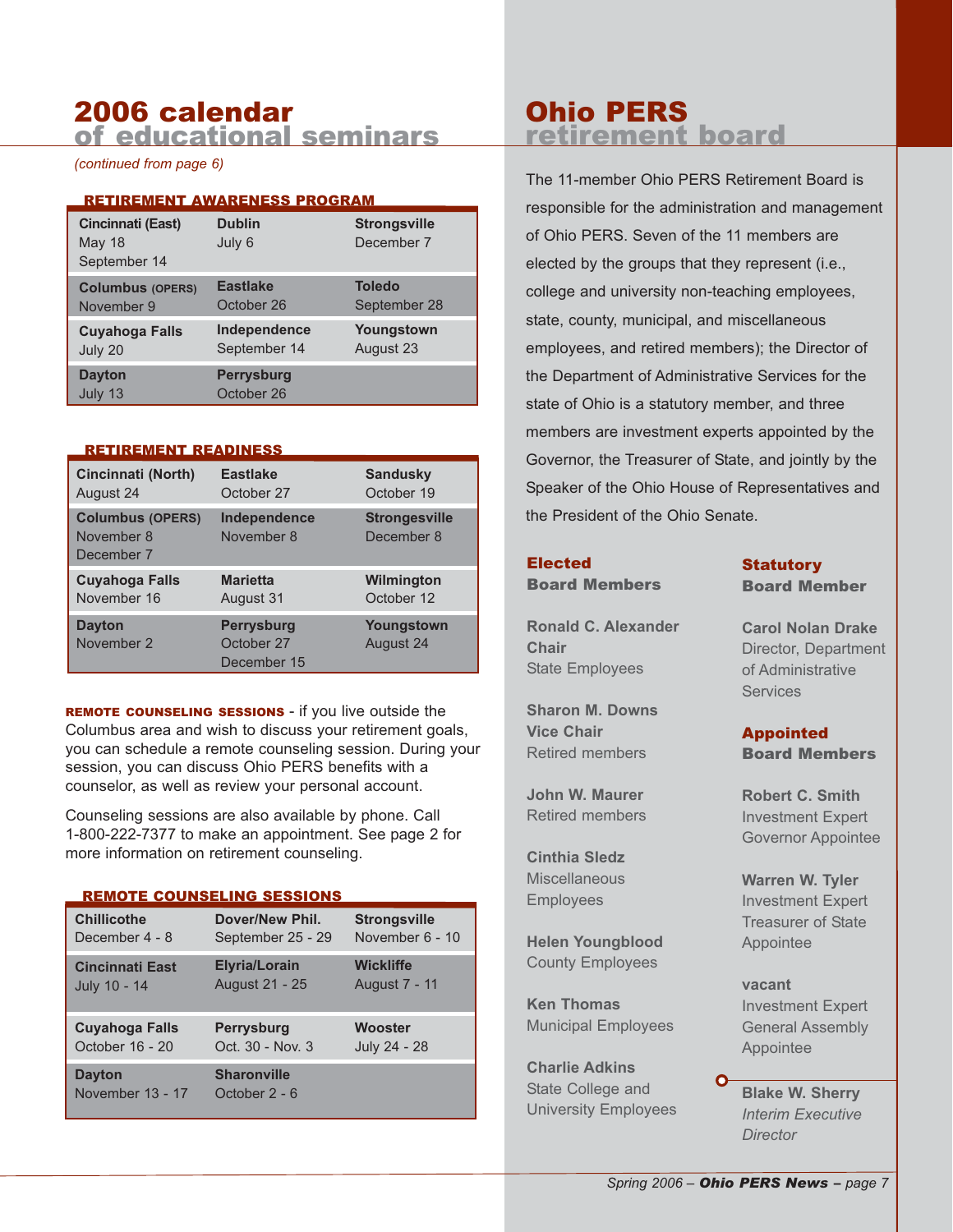#### 2006 calendar of educational seminars

*(continued from page 6)*

#### RETIREMENT AWARENESS PROGRAM

| Cincinnati (East)<br>May 18<br>September 14 | <b>Dublin</b><br>July 6         | <b>Strongsville</b><br>December 7 |
|---------------------------------------------|---------------------------------|-----------------------------------|
| <b>Columbus (OPERS)</b>                     | <b>Eastlake</b>                 | <b>Toledo</b>                     |
| November 9                                  | October 26                      | September 28                      |
| <b>Cuyahoga Falls</b>                       | Independence                    | Youngstown                        |
| July 20                                     | September 14                    | August 23                         |
| <b>Dayton</b><br>July 13                    | <b>Perrysburg</b><br>October 26 |                                   |

#### RETIREMENT READINESS

| <b>Cincinnati (North)</b>                           | <b>Eastlake</b>                                | <b>Sandusky</b>                    |
|-----------------------------------------------------|------------------------------------------------|------------------------------------|
| August 24                                           | October 27                                     | October 19                         |
| <b>Columbus (OPERS)</b><br>November 8<br>December 7 | Independence<br>November 8                     | <b>Strongesville</b><br>December 8 |
| <b>Cuyahoga Falls</b>                               | <b>Marietta</b>                                | Wilmington                         |
| November 16                                         | August 31                                      | October 12                         |
| <b>Dayton</b><br>November 2                         | <b>Perrysburg</b><br>October 27<br>December 15 | Youngstown<br>August 24            |

REMOTE COUNSELING SESSIONS - if you live outside the Columbus area and wish to discuss your retirement goals, you can schedule a remote counseling session. During your session, you can discuss Ohio PERS benefits with a counselor, as well as review your personal account.

Counseling sessions are also available by phone. Call 1-800-222-7377 to make an appointment. See page 2 for more information on retirement counseling.

#### REMOTE COUNSELING SESSIONS

| <b>Chillicothe</b>     | Dover/New Phil.      | <b>Strongsville</b>  |
|------------------------|----------------------|----------------------|
| December 4 - 8         | September 25 - 29    | November 6 - 10      |
| <b>Cincinnati East</b> | <b>Elyria/Lorain</b> | <b>Wickliffe</b>     |
| July 10 - 14           | August 21 - 25       | <b>August 7 - 11</b> |
|                        |                      |                      |
| <b>Cuyahoga Falls</b>  | <b>Perrysburg</b>    | Wooster              |
| October 16 - 20        | Oct. 30 - Nov. 3     | July 24 - 28         |

## Ohio PERS retirement board

The 11-member Ohio PERS Retirement Board is responsible for the administration and management of Ohio PERS. Seven of the 11 members are elected by the groups that they represent (i.e., college and university non-teaching employees, state, county, municipal, and miscellaneous employees, and retired members); the Director of the Department of Administrative Services for the state of Ohio is a statutory member, and three members are investment experts appointed by the Governor, the Treasurer of State, and jointly by the Speaker of the Ohio House of Representatives and the President of the Ohio Senate.

#### Elected

Board Members

**Ronald C. Alexander Chair** State Employees

**Sharon M. Downs Vice Chair** Retired members

**John W. Maurer** Retired members

**Cinthia Sledz Miscellaneous** Employees

**Helen Youngblood** County Employees

**Ken Thomas** Municipal Employees

**Charlie Adkins** State College and University Employees **Statutory** Board Member

**Carol Nolan Drake** Director, Department of Administrative **Services** 

Appointed Board Members

**Robert C. Smith** Investment Expert Governor Appointee

**Warren W. Tyler** Investment Expert Treasurer of State Appointee

**vacant** Investment Expert General Assembly Appointee

**Blake W. Sherry** *Interim Executive Director*

Ω